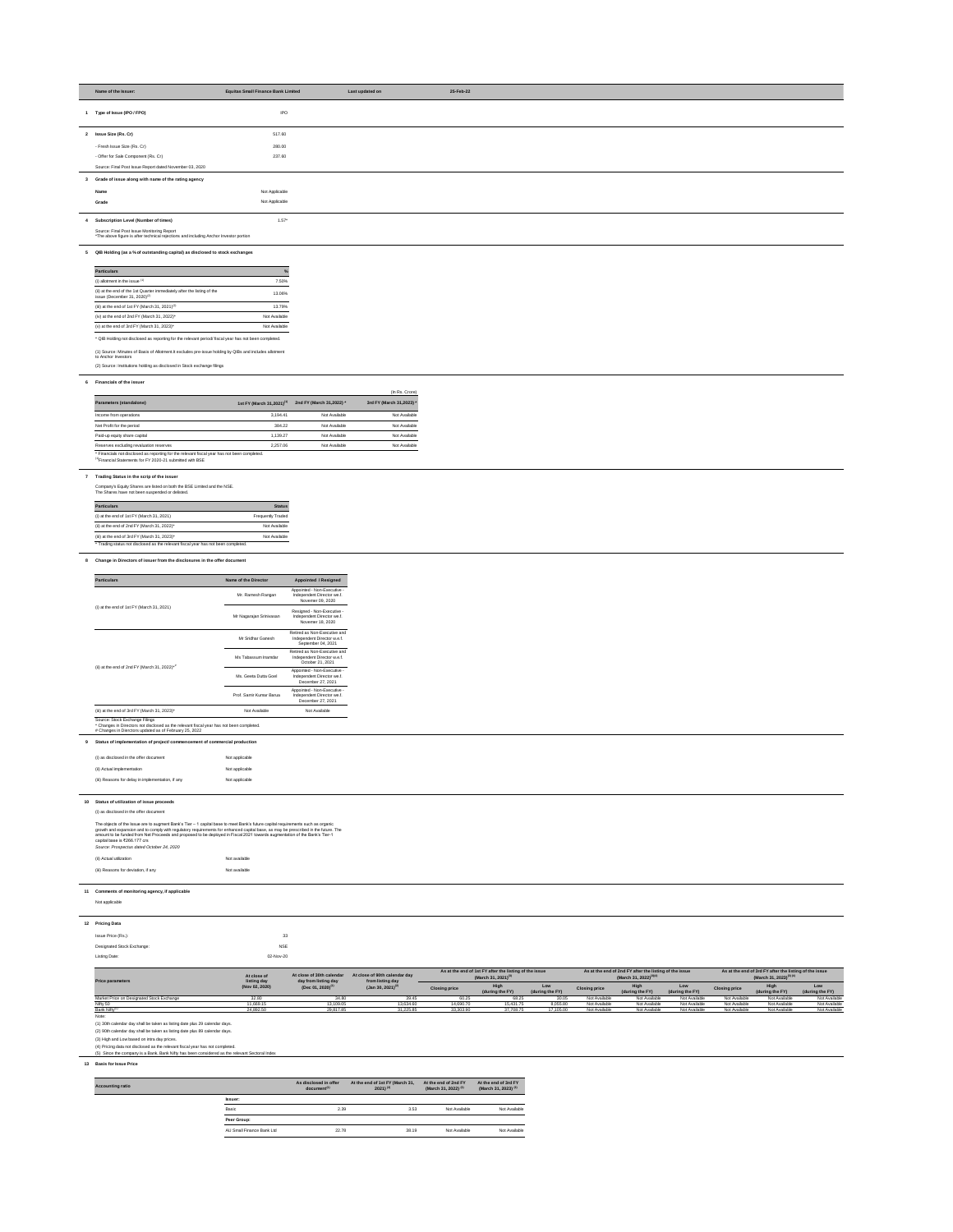| Name of the Issuer:                                                                                                                 | <b>Equitas Small Finance Bank Limited</b> | Last updated on | 25-Feb-22 |  |
|-------------------------------------------------------------------------------------------------------------------------------------|-------------------------------------------|-----------------|-----------|--|
| 1 Type of Issue (IPO / FPO)                                                                                                         | <b>IPO</b>                                |                 |           |  |
| 2 Issue Size (Rs. Cr)                                                                                                               | 517.60                                    |                 |           |  |
| - Fresh Issue Size (Rs. Cr)                                                                                                         | 280.00                                    |                 |           |  |
| - Offer for Sale Component (Rs. Cr)                                                                                                 | 237.60                                    |                 |           |  |
| Source: Final Post Issue Report dated November 03, 2020                                                                             |                                           |                 |           |  |
| 3 Grade of issue along with name of the rating agency                                                                               |                                           |                 |           |  |
| Name                                                                                                                                | Not Applicable                            |                 |           |  |
| Grade                                                                                                                               | Not Applicable                            |                 |           |  |
| 4 Subscription Level (Number of times)                                                                                              | $1.57*$                                   |                 |           |  |
| Source: Final Post Issue Monitoring Report<br>*The above figure is after technical rejections and including Anchor Investor portion |                                           |                 |           |  |

# **5 QIB Holding (as a % of outstanding capital) as disclosed to stock exchanges**

## **6 Financials of the issuer**

|                                                                                              |                                       |                          | (In Rs. Crore)           |
|----------------------------------------------------------------------------------------------|---------------------------------------|--------------------------|--------------------------|
| Parameters (standalone)                                                                      | 1st FY (March 31,2021) <sup>(1)</sup> | 2nd FY (March 31,2022) * | 3rd FY (March 31,2023) * |
| Income from operations                                                                       | 3.194.41                              | Not Available            | Not Available            |
| Net Profit for the period                                                                    | 384.22                                | Not Available            | Not Available            |
| Paid-up equity share capital                                                                 | 1.139.27                              | Not Available            | Not Available            |
| Reserves excluding revaluation reserves                                                      | 2.257.06                              | Not Available            | Not Available            |
| * Financials not disclosed as reporting for the relevant fiscal year has not been completed. |                                       |                          |                          |

 $(1)$ Financial Statements for FY 2020-21 submitted with BSE

#### **7 Trading Status in the scrip of the issuer**

Company's Equity Shares are listed on both the BSE Limited and the NSE.

The Shares have not been suspended or delisted.

| <b>Status</b>            |
|--------------------------|
| <b>Frequently Traded</b> |
| Not Available            |
| Not Available            |
|                          |

## **8 Change in Directors of issuer from the disclosures in the offer document**

## **9 Status of implementation of project/ commencement of commercial production**

| (i) as disclosed in the offer document            | Not applicable |
|---------------------------------------------------|----------------|
| (ii) Actual implementation                        | Not applicable |
| (iii) Reasons for delay in implementation, if any | Not applicable |

#### **10 Status of utilization of issue proceeds**

## (i) as disclosed in the offer document

| <b>Particulars</b>                                                                                                  | $\%$          |
|---------------------------------------------------------------------------------------------------------------------|---------------|
| (i) allotment in the issue $(1)$                                                                                    | 7.50%         |
| (ii) at the end of the 1st Quarter immediately after the listing of the<br>issue (December 31, 2020) <sup>(2)</sup> | 13.06%        |
| (iii) at the end of 1st FY (March 31, 2021) <sup>(2)</sup>                                                          | 13.79%        |
| (iv) at the end of 2nd FY (March 31, 2022)*                                                                         | Not Available |
| (v) at the end of 3rd FY (March 31, 2023)*                                                                          | Not Available |

## **11 Comments of monitoring agency, if applicable**

| Not applicable |  |
|----------------|--|
|                |  |

| 12 Pricing Data                   |            |
|-----------------------------------|------------|
|                                   | 33         |
| Issue Price (Rs.):                |            |
| <b>Designated Stock Exchange:</b> | <b>NSE</b> |
| <b>Listing Date:</b>              | 02-Nov-20  |

| <b>Particulars</b>                                          | Name of the Director    | <b>Appointed / Resigned</b>                                                       |
|-------------------------------------------------------------|-------------------------|-----------------------------------------------------------------------------------|
|                                                             | Mr. Ramesh Rangan       | Appointed - Non-Executive -<br>Independent Director we.f.<br>Novemer 09, 2020     |
| (i) at the end of $1st$ FY (March 31, 2021)                 | Mr Nagarajan Srinivasan | Resigned - Non-Executive -<br>Independent Director we.f.<br>Novemer 18, 2020      |
|                                                             | Mr Sridhar Ganesh       | Retired as Non-Executive and<br>Independent Director w.e.f.<br>September 04, 2021 |
|                                                             | Ms Tabassum Inamdar     | Retired as Non-Executive and<br>Independent Director w.e.f.<br>October 21, 2021   |
| (ii) at the end of 2nd FY (March 31, 2022) $*$ <sup>#</sup> | Ms. Geeta Dutta Goel    | Appointed - Non-Executive -<br>Independent Director we.f.<br>December 27, 2021    |
|                                                             | Prof. Samir Kumar Barua | Appointed - Non-Executive -<br>Independent Director we.f.<br>December 27, 2021    |
| (iii) at the end of 3rd FY (March 31, 2023)*                | Not Available           | Not Available                                                                     |

Note:

(1) 30th calendar day shall be taken as listing date plus 29 calendar days.

(2) 90th calendar day shall be taken as listing date plus 89 calendar days.

(3) High and Low based on intra day prices.

(4) Pricing data not disclosed as the relevant fiscal year has not completed.

*Source: Prospectus dated October 24, 2020* (ii) Actual utilization and the control of the control of the Not available (iii) Reasons for deviation, if any Not available The objects of the Issue are to augment Bank's Tier – 1 capital base to meet Bank's future capital requirements such as organic growth and expansion and to comply with regulatory requirements for enhanced capital base, as may be prescribed in the future. The amount to be funded from Net Proceeds and proposed to be deployed in Fiscal 2021 towards augmentation of the Bank's Tier-1 capital base is ₹266.177 crs

\* Changes in Directors not disclosed as the relevant fiscal year has not been completed. # Changes in Dierctors updated as of February 25, 2022

# **13 Basis for Issue Price**

| <b>Accounting ratio</b> |                           | As disclosed in offer<br>document <sup>(1)</sup> | At the end of 1st FY (March 31,<br>2021) $(2)$ | At the end of 2nd FY<br>(March 31, 2022) <sup>(3)</sup> | At the end of 3rd FY<br>(March 31, 2023) <sup>(3)</sup> |
|-------------------------|---------------------------|--------------------------------------------------|------------------------------------------------|---------------------------------------------------------|---------------------------------------------------------|
|                         | lssuer:                   |                                                  |                                                |                                                         |                                                         |
|                         | Basic                     | 2.39                                             | 3.53                                           | Not Available                                           | Not Available                                           |
|                         | Peer Group:               |                                                  |                                                |                                                         |                                                         |
|                         | AU Small Finance Bank Ltd | 22.78                                            | 38.19                                          | Not Available                                           | Not Available                                           |

| At close of                               |                               | At close of 30th calendar<br>day from listing day | At close of 90th calendar day<br>from listing day | As at the end of 1st FY after the listing of the issue<br>(March 31, 2021) <sup>(3)</sup> |                 | As at the end of 2nd FY after the listing of the issue<br>(March 31, 2022) <sup>(3)(4)</sup> |                      |                 | As at the end of 3rd FY after the listing of the issue<br>(March 31, 2023) <sup>(3)(4)</sup> |                      |                      |                        |
|-------------------------------------------|-------------------------------|---------------------------------------------------|---------------------------------------------------|-------------------------------------------------------------------------------------------|-----------------|----------------------------------------------------------------------------------------------|----------------------|-----------------|----------------------------------------------------------------------------------------------|----------------------|----------------------|------------------------|
| <b>Price parameters</b>                   | listing day<br>(Nov 02, 2020) | (Dec 01, 2020) <sup>(1</sup>                      | $($ Jan 30, 2021) <sup>(2)</sup>                  | <b>Closing price</b>                                                                      | (during the FY) | (during the FY)                                                                              | <b>Closing price</b> | (during the FY) | Low<br>(during the FY)                                                                       | <b>Closing price</b> | (during the FY)      | Low<br>(during the FY) |
| Market Price on Designated Stock Exchange | 32.80                         | 34.80                                             |                                                   | 60.25                                                                                     | 68.25           | 30.05                                                                                        | Not Available        | Not Available   | Not Available                                                                                | Not Available        | Not Available        | Not Available          |
| Nifty 50                                  | 11.669.1.                     | 13,109.05                                         | 13.634.60                                         | 14,690.70                                                                                 | 15.431.75       | 8,055.80                                                                                     | Not Available        | Not Available   | Not Available                                                                                | Not Available        | Not Available        | <b>Not Available</b>   |
| <b>Bank Nifty</b>                         | 24,892.50                     | 29,817.85                                         | 31.225.85                                         | 33,303.90                                                                                 | 37,708.75       | 17,105.00                                                                                    | Not Available        | Not Available   | Not Available                                                                                | Not Available        | <b>Not Available</b> | <b>Not Available</b>   |

(2) Source: Institutions holding as disclosed in Stock exchange filings

(1) Source: Minutes of Basis of Allotment.It excludes pre-issue holding by QIBs and includes allotment to Anchor Investors

(5) Since the company is a Bank, Bank Nifty has been considered as the relevant Sectoral Index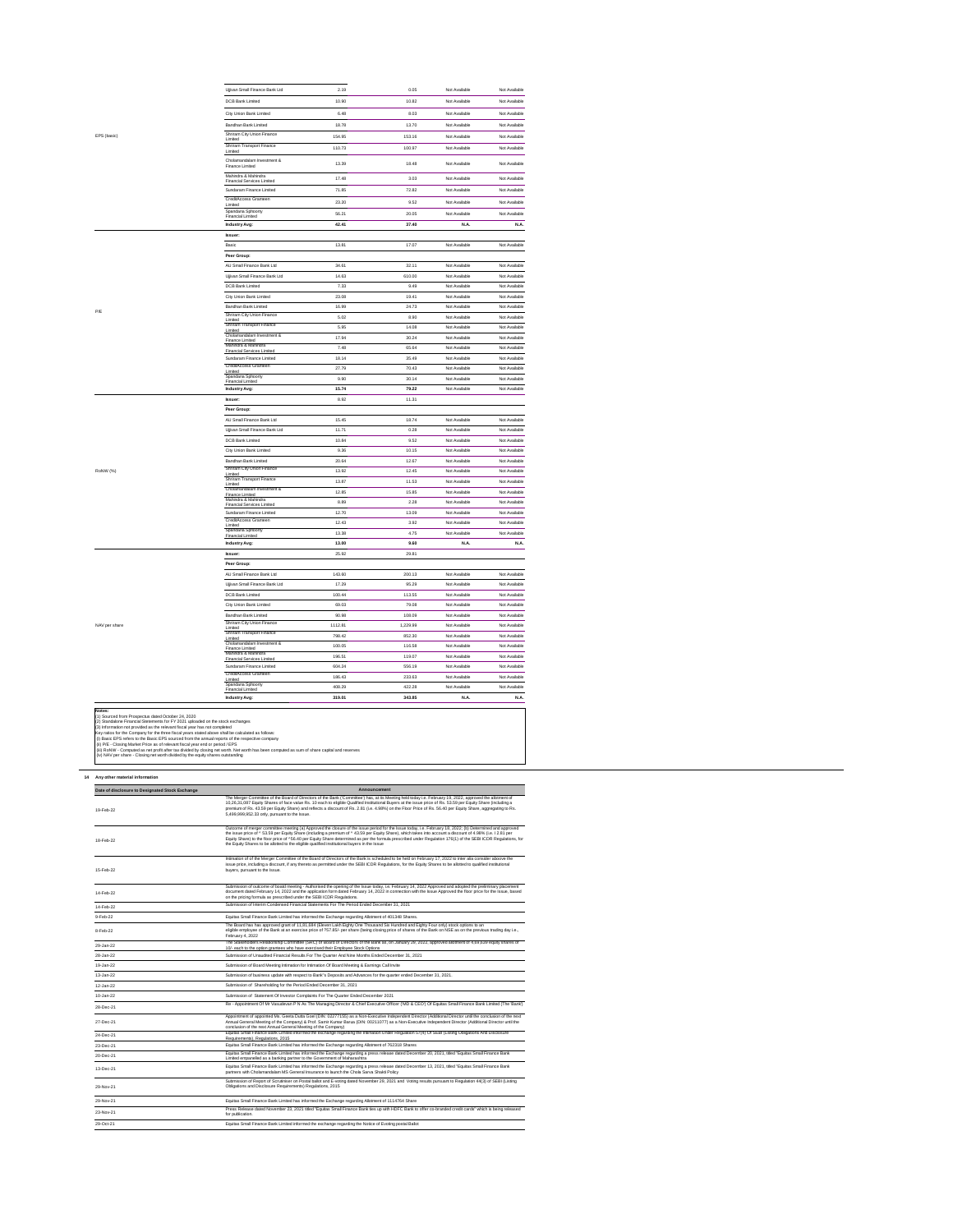| Ujjivan Small Finance Bank Ltd                                        | 2.19             | 0.05             | Not Available         | Not Available                |
|-----------------------------------------------------------------------|------------------|------------------|-----------------------|------------------------------|
| <b>DCB Bank Limited</b>                                               | 10.90            | 10.82            | Not Available         | Not Available                |
| City Union Bank Limited                                               | 6.48             | 8.03             | Not Available         | Not Available                |
| <b>Bandhan Bank Limited</b>                                           | 18.78            | 13.70            | Not Available         | Not Available                |
| Shriram City Union Finance                                            |                  |                  |                       |                              |
| Limited<br>Shriram Transport Finance                                  | 154.95           | 153.16           | Not Available         | Not Available                |
| Limited                                                               | 110.73           | 100.97           | Not Available         | Not Available                |
| Cholamandalam Investment &<br><b>Finance Limited</b>                  | 13.39            | 18.48            | Not Available         | Not Available                |
| Mahindra & Mahindra<br><b>Financial Services Limited</b>              | 17.48            | 3.03             | Not Available         | Not Available                |
| Sundaram Finance Limited                                              | 71.85            | 72.82            | Not Available         | Not Available                |
| CreditAccess Grameen                                                  | 23.20            | 9.52             | Not Available         | Not Available                |
| Limited<br>Spandana Sphoorty                                          |                  |                  |                       |                              |
| <b>Financial Limited</b>                                              | 56.21            | 20.05            | Not Available         | Not Available                |
| <b>Industry Avg:</b>                                                  | 42.41            | 37.40            | N.A.                  | <b>N.A.</b>                  |
| <b>Issuer:</b>                                                        |                  |                  |                       |                              |
| Basic                                                                 | 13.81            | 17.07            | Not Available         | Not Available                |
| Peer Group:                                                           |                  |                  |                       |                              |
| AU Small Finance Bank Ltd                                             | 34.61            | 32.11            | Not Available         | Not Available                |
| Ujjivan Small Finance Bank Ltd                                        | 14.63            | 610.00           | Not Available         | Not Available                |
| <b>DCB Bank Limited</b>                                               | 7.33             | 9.49             | Not Available         | Not Available                |
| City Union Bank Limited                                               | 23.08            | 19.41            | Not Available         | Not Available                |
| <b>Bandhan Bank Limited</b>                                           | 16.99            | 24.73            | Not Available         | Not Available                |
| <b>Shriram City Union Finance</b><br>Limited                          | 5.02             | 8.90             | Not Available         | Not Available                |
| <b>Shriram Transport Finance</b><br>Limited                           | 5.95             | 14.08            | Not Available         | Not Available                |
| Cholamandalam Investment &<br><b>Finance Limited</b>                  | 17.94            | 30.24            | Not Available         | Not Available                |
| Mahindra & Mahindra<br><b>Financial Services Limited</b>              | 7.48             | 65.64            | Not Available         | Not Available                |
| Sundaram Finance Limited                                              | 18.14            | 35.49            | Not Available         | Not Available                |
| CreditAccess Grameen<br>Limited                                       | 27.79            | 70.43            | Not Available         | Not Available                |
| Spandana Sphoorty                                                     | 9.90             | 30.14            | Not Available         | Not Available                |
| <b>Financial Limited</b><br><b>Industry Avg:</b>                      | 15.74            | 79.22            | Not Available         | Not Available                |
| <b>Issuer:</b>                                                        | 8.92             | 11.31            |                       |                              |
|                                                                       |                  |                  |                       |                              |
|                                                                       |                  |                  |                       |                              |
| Peer Group:                                                           |                  |                  |                       |                              |
| AU Small Finance Bank Ltd                                             | 15.45            | 18.74            | Not Available         | Not Available                |
| Ujjivan Small Finance Bank Ltd                                        | 11.71            | 0.28             | Not Available         | Not Available                |
| <b>DCB Bank Limited</b>                                               | 10.84            | 9.52             | Not Available         | Not Available                |
| City Union Bank Limited                                               | 9.36             | 10.15            | Not Available         | Not Available                |
| Bandhan Bank Limited                                                  | 20.64            | 12.67            | Not Available         | Not Available                |
| Shriram City Union Finance<br>Limited                                 | 13.92            | 12.45            | Not Available         | Not Available                |
| <b>Shriram Transport Finance</b><br>Limited                           | 13.87            | 11.53            | Not Available         | Not Available                |
| Cholamandalam Investment &<br><b>Finance Limited</b>                  | 12.85            | 15.85            | Not Available         | Not Available                |
| Mahindra & Mahindra<br><b>Financial Services Limited</b>              | 8.89             | 2.28             | Not Available         | Not Available                |
| Sundaram Finance Limited                                              | 12.70            | 13.09            | Not Available         | Not Available                |
| CreditAccess Grameen<br>Limited                                       | 12.43            | 3.92             | Not Available         | Not Available                |
| Spandana Sphoorty<br><b>Financial Limited</b>                         | 13.38            | 4.75             | Not Available         | Not Available                |
| <b>Industry Avg:</b>                                                  | 13.00            | 9.60             | N.A.                  | <b>N.A.</b>                  |
| <b>Issuer:</b>                                                        | 25.92            | 29.81            |                       |                              |
| Peer Group:                                                           |                  |                  |                       |                              |
| AU Small Finance Bank Ltd                                             | 143.60           | 200.13           | Not Available         | Not Available                |
| Ujjivan Small Finance Bank Ltd                                        | 17.29            | 95.29            | Not Available         | Not Available                |
| <b>DCB Bank Limited</b>                                               | 100.44           | 113.55           | Not Available         | Not Available                |
| City Union Bank Limited                                               | 69.03            | 79.08            | Not Available         | Not Available                |
| Bandhan Bank Limited                                                  | 90.98            | 108.09           | Not Available         | Not Available                |
| Shriram City Union Finance                                            |                  | 1,229.99         | Not Available         | Not Available                |
| Limited<br><b>Shriram Transport Finance</b>                           | 1112.81          |                  |                       |                              |
| Limited<br>Cholamandalam Investment &                                 | 798.42           | 852.30           | Not Available         | Not Available                |
| <b>Finance Limited</b><br>Mahindra & Mahindra                         | 100.05           | 116.58           | Not Available         | Not Available                |
| <b>Financial Services Limited</b>                                     | 196.51           | 119.07           | Not Available         | Not Available                |
| Sundaram Finance Limited                                              | 604.24           | 556.19           | Not Available         | Not Available                |
| CreditAccess Grameen<br>Limited                                       | 186.43           | 233.63           | Not Available         | Not Available                |
| Spandana Sphoorty<br><b>Financial Limited</b><br><b>Industry Avg:</b> | 408.29<br>319.01 | 422.28<br>343.85 | Not Available<br>N.A. | Not Available<br><b>N.A.</b> |

# **14 Any other material information**

**Notes:** (1) Sourced from Prospectus dated October 24, 2020 (3) Information not provided as the relevant fiscal year has not completed Key ratios for the Company for the three fiscal years stated above shall be calculated as follows: (i) Basic EPS refers to the Basic EPS sourced from the annual reports of the respective company (ii) P/E - Closing Market Price as of relevant fiscal year end or period / EPS (iii) RoNW - Computed as net profit after tax divided by closing net worth. Net worth has been computed as sum of share capital and reserves (iv) NAV per share - Closing net worth divided by the equity shares outstanding (2) Standalone Financial Stetements for FY 2021 uploaded on the stock exchanges

NAV per share

**Contract Contract** 

EPS (basic)

| Date of disclosure to Designated Stock Exchange | Announcement                                                                                                                                                                                                                                                                                                                                                                                                                                                                                                                                                                              |  |  |  |  |
|-------------------------------------------------|-------------------------------------------------------------------------------------------------------------------------------------------------------------------------------------------------------------------------------------------------------------------------------------------------------------------------------------------------------------------------------------------------------------------------------------------------------------------------------------------------------------------------------------------------------------------------------------------|--|--|--|--|
| 19-Feb-22                                       | The Merger Committee of the Board of Directors of the Bank ('Committee') has, at its Meeting held today i.e. February 19, 2022, approved the allotment of<br>10,26,31,087 Equity Shares of face value Rs. 10 each to eligible Qualified Institutional Buyers at the issue price of Rs. 53.59 per Equity Share (including a<br>premium of Rs. 43.59 per Equity Share) and reflects a discount of Rs. 2.81 (i.e. 4.98%) on the Floor Price of Rs. 56.40 per Equity Share, aggregating to Rs.<br>5,499,999,952.33 only, pursuant to the Issue.                                               |  |  |  |  |
| 18-Feb-22                                       | Outcome of merger committee meeting (a) Approved the closure of the issue period for the Issue today, i.e. February 18, 2022; (b) Determined and approved<br>the issue price of ^53.59 per Equity Share (including a premium of ^43.59 per Equity Share), which takes into account a discount of 4.98% (i.e. I 2.81 per<br>Equity Share) to the floor price of ^56.40 per Equity Share determined as per the formula prescribed under Regulation 176(1) of the SEBI ICDR Regulations, for<br>the Equity Shares to be allotted to the eligible qualified institutional buyers in the Issue |  |  |  |  |
| 15-Feb-22                                       | Intimation of of the Merger Committee of the Board of Directors of the Bank is scheduled to be held on February 17, 2022 to inter alia consider aboove the<br>issue price, including a discount, if any thereto as permitted under the SEBI ICDR Regulations, for the Equity Shares to be allotted to qualified institutional<br>buyers, pursuant to the Issue.                                                                                                                                                                                                                           |  |  |  |  |
| 14-Feb-22                                       | Submission of outcome of boatd meeting - Authorised the opening of the Issue today, i.e. February 14, 2022 Approved and adopted the preliminary placement<br>document dated February 14, 2022 and the application form dated February 14, 2022 in connection with the Issue Approved the floor price for the Issue, based<br>on the pricing formula as prescribed under the SEBI ICDR Regulations.                                                                                                                                                                                        |  |  |  |  |
| 14-Feb-22                                       | Submission of Interim Condensed Financial Statements For The Period Ended December 31, 2021                                                                                                                                                                                                                                                                                                                                                                                                                                                                                               |  |  |  |  |
| 9-Feb-22                                        | Equitas Small Finance Bank Limited has informed the Exchange regarding Allotment of 401348 Shares.                                                                                                                                                                                                                                                                                                                                                                                                                                                                                        |  |  |  |  |
| 8-Feb-22                                        | The Board has has approved grant of 11,81,684 (Eleven Lakh Eighty One Thousand Six Hundred and Eighty Four only) stock options to an<br>eligible employee of the Bank at an exercise price of ?57.85/- per share (being closing price of shares of the Bank on NSE as on the previous trading day i.e.,<br>February 4, 2022                                                                                                                                                                                                                                                               |  |  |  |  |
| 29-Jan-22                                       | The Stakeholders Relationship Committee (SRC) of Board of Directors of the Bank as, on January 29, 2022, approved allotment of 4,69,639 equity shares of<br>10/- each to the option grantees who have exercised their Employee Stock Options                                                                                                                                                                                                                                                                                                                                              |  |  |  |  |
| 28-Jan-22                                       | Submission of Unaudited Financial Results For The Quarter And Nine Months Ended December 31, 2021                                                                                                                                                                                                                                                                                                                                                                                                                                                                                         |  |  |  |  |
| 19-Jan-22                                       | Submission of Board Meeting Intimation for Intimation Of Board Meeting & Earnings Call Invite                                                                                                                                                                                                                                                                                                                                                                                                                                                                                             |  |  |  |  |
| 13-Jan-22                                       | Submission of business update with respect to Bank"s Deposits and Advances for the quarter ended December 31, 2021.                                                                                                                                                                                                                                                                                                                                                                                                                                                                       |  |  |  |  |
| 12-Jan-22                                       | Submission of Shareholding for the Period Ended December 31, 2021                                                                                                                                                                                                                                                                                                                                                                                                                                                                                                                         |  |  |  |  |
| 10-Jan-22                                       | Submission of Statement Of Investor Complaints For The Quarter Ended December 2021                                                                                                                                                                                                                                                                                                                                                                                                                                                                                                        |  |  |  |  |
| 28-Dec-21                                       | Re - Appointment Of Mr Vasudevan P N As The Managing Director & Chief Executive Officer ('MD & CEO') Of Equitas Small Finance Bank Limited (The 'Bank')                                                                                                                                                                                                                                                                                                                                                                                                                                   |  |  |  |  |
| 27-Dec-21                                       | Appointment of appointed Ms. Geeta Dutta Goel (DIN: 02277155) as a Non-Executive Independent Director (Additional Director until the conclusion of the next<br>Annual General Meeting of the Company) & Prof. Samir Kumar Barua (DIN: 00211077) as a Non-Executive Independent Director (Additional Director until the<br>conclusion of the next Annual General Meeting of the Company)                                                                                                                                                                                                   |  |  |  |  |
| 24-Dec-21                                       | Equitas Small Finance Bank Limited informed the exchange regarding the Intimation Under Regulation 57(4) Of SEBI (Listing Obligations And Disclosure<br>Requirements), Regulations, 2015                                                                                                                                                                                                                                                                                                                                                                                                  |  |  |  |  |
| 23-Dec-21                                       | Equitas Small Finance Bank Limited has informed the Exchange regarding Allotment of 762318 Shares                                                                                                                                                                                                                                                                                                                                                                                                                                                                                         |  |  |  |  |
| 20-Dec-21                                       | Equitas Small Finance Bank Limited has informed the Exchange regarding a press release dated December 20, 2021, titled "Equitas Small Finance Bank<br>Limited empanelled as a banking partner to the Government of Maharashtra                                                                                                                                                                                                                                                                                                                                                            |  |  |  |  |
| 13-Dec-21                                       | Equitas Small Finance Bank Limited has informed the Exchange regarding a press release dated December 13, 2021, titled "Equitas Small Finance Bank<br>partners with Cholamandalam MS General Insurance to launch the Chola Sarva Shakti Policy                                                                                                                                                                                                                                                                                                                                            |  |  |  |  |
| 29-Nov-21                                       | Submission of Report of Scrutiniser on Postal ballot and E-voting dated November 29, 2021 and Voting results pursuant to Regulation 44(3) of SEBI (Listing<br>Obligations and Disclosure Requirements) Regulations, 2015                                                                                                                                                                                                                                                                                                                                                                  |  |  |  |  |
| 29-Nov-21                                       | Equitas Small Finance Bank Limited has informed the Exchange regarding Allotment of 1114764 Share                                                                                                                                                                                                                                                                                                                                                                                                                                                                                         |  |  |  |  |
| 23-Nov-21                                       | Press Release dated November 23, 2021 titled "Equitas Small Finance Bank ties up with HDFC Bank to offer co-branded credit cards" which is being released<br>for publication.                                                                                                                                                                                                                                                                                                                                                                                                             |  |  |  |  |
| 29-Oct-21                                       | Equitas Small Finance Bank Limited informed the exchange regarding the Notice of Evoting postal Ballot                                                                                                                                                                                                                                                                                                                                                                                                                                                                                    |  |  |  |  |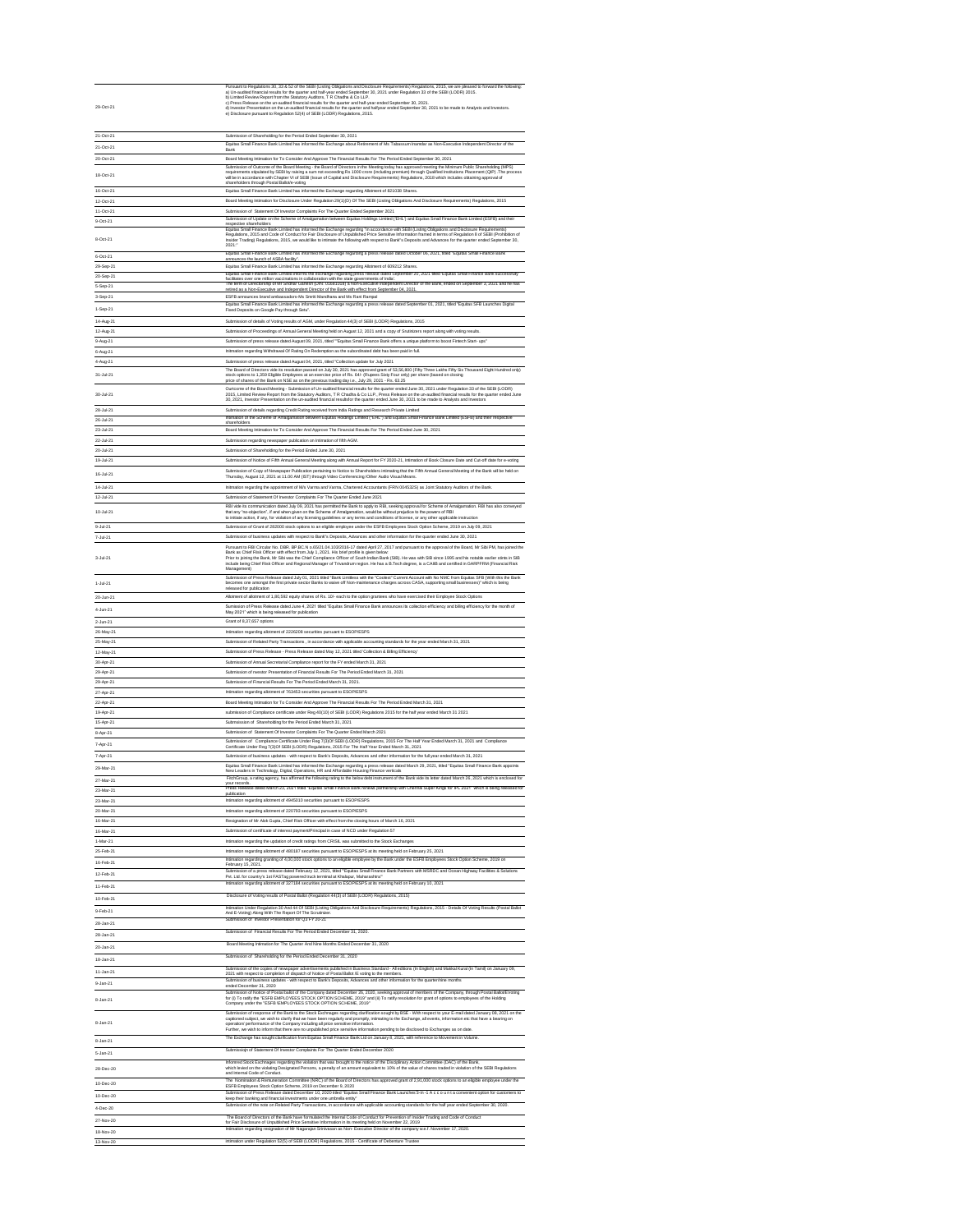| 21-Oct-21 | Submission of Shareholding for the Period Ended September 30, 2021                                                                                                                                                                                                                                                                                                                                                                                                                                                         |
|-----------|----------------------------------------------------------------------------------------------------------------------------------------------------------------------------------------------------------------------------------------------------------------------------------------------------------------------------------------------------------------------------------------------------------------------------------------------------------------------------------------------------------------------------|
| 21-Oct-21 | Equitas Small Finance Bank Limited has informed the Exchange about Retirement of Ms Tabassum Inamdar as Non-Executive Independent Director of the<br>Bank                                                                                                                                                                                                                                                                                                                                                                  |
| 20-Oct-21 | Board Meeting Intimation for To Consider And Approve The Financial Results For The Period Ended September 30, 2021                                                                                                                                                                                                                                                                                                                                                                                                         |
| 18-Oct-21 | Submission of Outcome of the Board Meeting - the Board of Directors in the Meeting today has approved meeting the Minimum Public Shareholding (MPS)<br>requirements stipulated by SEBI by raising a sum not exceeding Rs 1000 crore (including premium) through Qualified Institutions Placement (QIP) . The process<br>will be in accordance with Chapter VI of SEBI (Issue of Capital and Disclosure Requirements) Regulations, 2018 which includes obtaining approval of<br>shareholders through Postal Ballot/e-voting |
| 16-Oct-21 | Equitas Small Finance Bank Limited has informed the Exchange regarding Allotment of 821038 Shares.                                                                                                                                                                                                                                                                                                                                                                                                                         |
| 12-Oct-21 | Board Meeting Intimation for Disclosure Under Regulation 29(1)(D) Of The SEBI (Listing Obligations And Disclosure Requirements) Regulations, 2015                                                                                                                                                                                                                                                                                                                                                                          |
| 11-Oct-21 | Submission of Statement Of Investor Complaints For The Quarter Ended September 2021                                                                                                                                                                                                                                                                                                                                                                                                                                        |
| 9-Oct-21  | Submission of Update on the Scheme of Amalgamation between Equitas Holdings Limited ('EHL') and Equitas Small Finance Bank Limited (ESFB) and their<br>respective shareholders                                                                                                                                                                                                                                                                                                                                             |
| 8-Oct-21  | Equitas Small Finance Bank Limited has informed the Exchange regarding "In accordance with SEBI (Listing Obligations and Disclosure Requirements)<br>Regulations, 2015 and Code of Conduct for Fair Disclosure of Unpublished Price Sensitive Information framed in terms of Regulation 8 of SEBI (Prohibition of<br>Insider Trading) Regulations, 2015, we would like to intimate the following with respect to Bank"s Deposits and Advances for the quarter ended September 30,<br>2021:"                                |
| 6-Oct-21  | Equitas Small Finance Bank Limited has informed the Exchange regarding a press release dated October 06, 2021, titled "Equitas Small Finance Bank<br>announces the launch of ASBA facility".                                                                                                                                                                                                                                                                                                                               |
| 29-Sep-21 | Equitas Small Finance Bank Limited has informed the Exchange regarding Allotment of 609212 Shares.                                                                                                                                                                                                                                                                                                                                                                                                                         |
| 20-Sep-21 | Equitas Small Finance Bank Limited informs the exchange regarding press release dated September 20, 2021 titled 'Equitas Small Finance Bank successfully<br>facilitates over one million vaccinations in collaboration with the state governments of India'.<br>The term of Directorship of Mr Sridhar Ganesh (DIN: 01681018) a Non-Executive Independent Director of the Bank, ended on September 3, 2021 and he has                                                                                                      |
| 5-Sep-21  | retired as a Non-Executive and Independent Director of the Bank with effect from September 04, 2021.                                                                                                                                                                                                                                                                                                                                                                                                                       |
| 3-Sep-21  | ESFB announces brand ambassadors-Ms Smriti Mandhana and Ms Rani Rampal                                                                                                                                                                                                                                                                                                                                                                                                                                                     |
| 1-Sep-21  | Equitas Small Finance Bank Limited has informed the Exchange regarding a press release dated September 01, 2021, titled "Equitas SFB Launches Digital<br>Fixed Deposits on Google Pay through Setu".                                                                                                                                                                                                                                                                                                                       |
| 14-Aug-21 | Submission of details of Voting results of AGM, under Regulation 44(3) of SEBI (LODR) Regulations, 2015                                                                                                                                                                                                                                                                                                                                                                                                                    |
| 12-Aug-21 | Submission of Proceedings of Annual General Meeting held on August 12, 2021 and a copy of Srutinizers report along with voting results.                                                                                                                                                                                                                                                                                                                                                                                    |
| 9-Aug-21  | Submission of press release dated August 09, 2021, titled ""Equitas Small Finance Bank offers a unique platform to boost Fintech Start- ups"                                                                                                                                                                                                                                                                                                                                                                               |
| 6-Aug-21  | Initmation regarding Withdrawal Of Rating On Redemption as the subordinated debt has been paid in full.                                                                                                                                                                                                                                                                                                                                                                                                                    |
| 4-Aug-21  | Submission of press release dated August 04, 2021, titled "Collection update for July 2021                                                                                                                                                                                                                                                                                                                                                                                                                                 |
| 31-Jul-21 | The Board of Directors vide its resolution passed on July 30, 2021 has approved grant of 53,56,800 (Fifty Three Lakhs Fifty Six Thousand Eight Hundred only)<br>stock options to 1,359 Eligible Employees at an exercise price of Rs. 64/- (Rupees Sixty Four only) per share (based on closing<br>price of shares of the Bank on NSE as on the previous trading day i.e., July 29, 2021 - Rs. 63.25                                                                                                                       |
| 30-Jul-21 | Ourtcome of the Board Meeting - Submission of Un-audited financial results for the quarter ended June 30, 2021 under Regulation 33 of the SEBI (LODR)<br>2015, Limited Review Report from the Statutory Auditors, T R Chadha & Co LLP., Press Release on the un-audited financial results for the quarter ended June<br>30, 2021, Investor Presentation on the un-audited financial resultsfor the quarter ended June 30, 2021 to be made to Analysts and Investors                                                        |
| 28-Jul-21 | Submission of details regarding Credit Rating received from India Ratings and Research Private Limited                                                                                                                                                                                                                                                                                                                                                                                                                     |
| 26-Jul-21 | Intimation of the Scheme of Amalgamation between Equitas Holdings Limited ("EHL") and Equitas Small Finance Bank Limited (ESFB) and their respective<br>shareholders                                                                                                                                                                                                                                                                                                                                                       |
| 23-Jul-21 | Board Meeting Intimation for To Consider And Approve The Financial Results For The Period Ended June 30, 2021                                                                                                                                                                                                                                                                                                                                                                                                              |
| 22-Jul-21 | Submission regarding newspaper publication on Intimation of fifth AGM.                                                                                                                                                                                                                                                                                                                                                                                                                                                     |
| 20-Jul-21 | Submission of Shareholding for the Period Ended June 30, 2021                                                                                                                                                                                                                                                                                                                                                                                                                                                              |
| 19-Jul-21 | Submission of Notice of Fifth Annual General Meeting along with Annual Report for FY 2020-21, Intimation of Book Closure Date and Cut-off date for e-voting                                                                                                                                                                                                                                                                                                                                                                |
| 16-Jul-21 | Submission of Copy of Newspaper Publication pertaining to Notice to Shareholders intimating that the Fifth Annual General Meeting of the Bank will be held on<br>Thursday, August 12, 2021 at 11.00 AM (IST) through Video Conferencing / Other Audio Visual Means.                                                                                                                                                                                                                                                        |
| 14-Jul-21 | Initmation regarding the appointment of M/s Varma and Varma, Chartered Accountants (FRN 004532S) as Joint Statutory Auditors of the Bank.                                                                                                                                                                                                                                                                                                                                                                                  |

| 12-Jul-21       | Submission of Statement Of Investor Complaints For The Quarter Ended June 2021                                                                                                                                                                                                                                                                                                                                                                                                                                                                                                                           |
|-----------------|----------------------------------------------------------------------------------------------------------------------------------------------------------------------------------------------------------------------------------------------------------------------------------------------------------------------------------------------------------------------------------------------------------------------------------------------------------------------------------------------------------------------------------------------------------------------------------------------------------|
| 10-Jul-21       | RBI vide its communication dated July 09, 2021 has permitted the Bank to apply to RBI, seeking approval for Scheme of Amalgamation. RBI has also conveyed<br>that any "no-objection", if and when given on the Scheme of Amalgamation, would be without prejudice to the powers of RBI<br>to initiate action, if any, for violation of any licensing guidelines or any terms and conditions of license, or any other applicable instruction                                                                                                                                                              |
| 9-Jul-21        | Submission of Grant of 282000 stock options to an eligible employee under the ESFB Employees Stock Option Scheme, 2019 on July 09, 2021                                                                                                                                                                                                                                                                                                                                                                                                                                                                  |
| 7-Jul-21        | Submission of business updates with respect to Bank"s Deposits, Advances and other information for the quarter ended June 30, 2021                                                                                                                                                                                                                                                                                                                                                                                                                                                                       |
| $3 -$ Jul $-21$ | Pursuant to RBI Circular No. DBR. BP.BC.N o.65/21.04.103/2016-17 dated April 27, 2017 and pursuant to the approval of the Board, Mr Sibi PM, has joined the<br>Bank as Chief Risk Officer with effect from July 1, 2021. His brief profile is given below:<br>Prior to joining the Bank, Mr Sibi was the Chief Compliance Officer of South Indian Bank (SIB). He was with SIB since 1995 and his notable earlier stints in SIB<br>include being Chief Risk Officer and Regional Manager of Trivandrum region. He has a B.Tech degree, is a CAIIB and certified in GARPFRM (Financial Risk<br>Management) |
| 1-Jul-21        | Submission of Press Release dated July 01, 2021 titled "Bank Limitless with the "Coolest" Current Account with No NMC from Equitas SFB (With this the Bank<br>becomes one amongst the first private sector Banks to waive off Non-maintenance charges across CASA, supporting small businesses)" which is being<br>released for publication                                                                                                                                                                                                                                                              |
| 20-Jun-21       | Allotment of allotment of 1,80,592 equity shares of Rs. 10/- each to the option grantees who have exercised their Employee Stock Options                                                                                                                                                                                                                                                                                                                                                                                                                                                                 |
| 4-Jun-21        | Sumission of Press Release dated June 4, 2021 titled "Equitas Small Finance Bank announces its collection efficiency and billing efficiency for the month of<br>May 2021" which is being released for publication                                                                                                                                                                                                                                                                                                                                                                                        |
| 2-Jun-21        | Grant of 8,37,657 options                                                                                                                                                                                                                                                                                                                                                                                                                                                                                                                                                                                |
| 26-May-21       | Intimation regarding allotment of 2226208 securities pursuant to ESOP/ESPS                                                                                                                                                                                                                                                                                                                                                                                                                                                                                                                               |
| 25-May-21       | Submission of Related Party Transactions, in accordance with applicable accounting standards for the year ended March 31, 2021                                                                                                                                                                                                                                                                                                                                                                                                                                                                           |
| 12-May-21       | Submission of Press Release - Press Release dated May 12, 2021 titled 'Collection & Billing Efficiency'                                                                                                                                                                                                                                                                                                                                                                                                                                                                                                  |
| 30-Apr-21       | Submission of Annual Secretarial Compliance report for the FY ended March 31, 2021                                                                                                                                                                                                                                                                                                                                                                                                                                                                                                                       |
| 29-Apr-21       | Submission of nvestor Presentation of Financial Results For The Period Ended March 31, 2021                                                                                                                                                                                                                                                                                                                                                                                                                                                                                                              |
| 29-Apr-21       | Submission of Financial Results For The Period Ended March 31, 2021.                                                                                                                                                                                                                                                                                                                                                                                                                                                                                                                                     |
| 27-Apr-21       | Intimation regarding allotment of 763453 securities pursuant to ESOP/ESPS                                                                                                                                                                                                                                                                                                                                                                                                                                                                                                                                |
| 22-Apr-21       | Board Meeting Intimation for To Consider And Approve The Financial Results For The Period Ended March 31, 2021                                                                                                                                                                                                                                                                                                                                                                                                                                                                                           |
| 19-Apr-21       | submission of Compliance certificate under Reg 40(10) of SEBI (LODR) Regulations 2015 for the half year ended March 31 2021                                                                                                                                                                                                                                                                                                                                                                                                                                                                              |
| 15-Apr-21       | Submsission of Shareholding for the Period Ended March 31, 2021                                                                                                                                                                                                                                                                                                                                                                                                                                                                                                                                          |
| 8-Apr-21        | Submission of Statement Of Investor Complaints For The Quarter Ended March 2021                                                                                                                                                                                                                                                                                                                                                                                                                                                                                                                          |
| 7-Apr-21        | Submission of Compliance Certificate Under Reg 7(3)Of SEBI (LODR) Regulations, 2015 For The Half Year Ended March 31, 2021 and Compliance<br>Certificate Under Reg 7(3) Of SEBI (LODR) Regulations, 2015 For The Half Year Ended March 31, 2021                                                                                                                                                                                                                                                                                                                                                          |
| 7-Apr-21        | Submission of business updates - with respect to Bank's Deposits, Advances and other information for the full year ended March 31, 2021                                                                                                                                                                                                                                                                                                                                                                                                                                                                  |
| 29-Mar-21       | Equitas Small Finance Bank Limited has informed the Exchange regarding a press release dated March 29, 2021, titled "Equitas Small Finance Bank appoints<br>New Leaders in Technology, Digital, Operations, HR and Affordable Housing Finance verticals                                                                                                                                                                                                                                                                                                                                                  |
| 27-Mar-21       | FitchGroup, a rating agency, has affirmed the following rating to the below debt instrument of the Bank vide its letter dated March 26, 2021 which is enclosed for<br>vour records.                                                                                                                                                                                                                                                                                                                                                                                                                      |
| 23-Mar-21       | Press Release dated March 23, 2021 titled "Equitas Small Finance Bank renews partnership with Chennai Super Kings for IPL 2021" which is being released for<br>publication                                                                                                                                                                                                                                                                                                                                                                                                                               |
| 23-Mar-21       | Intimation regarding allotment of 4945010 securities pursuant to ESOP/ESPS                                                                                                                                                                                                                                                                                                                                                                                                                                                                                                                               |
| 20-Mar-21       | Intimation regarding allotment of 220793 securities pursuant to ESOP/ESPS                                                                                                                                                                                                                                                                                                                                                                                                                                                                                                                                |
| 16-Mar-21       | Resignation of Mr Alok Gupta, Chief Risk Officer with effect from the closing hours of March 16, 2021                                                                                                                                                                                                                                                                                                                                                                                                                                                                                                    |
| 16-Mar-21       | Submission of certificate of interest payment/Principal in case of NCD under Regulation 57                                                                                                                                                                                                                                                                                                                                                                                                                                                                                                               |
| 1-Mar-21        | Intimation regarding the updation of credit ratings from CRISIL was submitted to the Stock Exchanges                                                                                                                                                                                                                                                                                                                                                                                                                                                                                                     |
| 25-Feb-21       | Intimation regarding allotment of 480187 securities pursuant to ESOP/ESPS at its meeting held on February 25, 2021                                                                                                                                                                                                                                                                                                                                                                                                                                                                                       |
| 16-Feb-21       | Intimation regarding granting of 4,00,000 stock options to an eligible employee by the Bank under the ESFB Employees Stock Option Scheme, 2019 on<br>February 15, 2021.                                                                                                                                                                                                                                                                                                                                                                                                                                  |
| 12-Feb-21       | Submission of a press release dated February 12, 2021, titled "Equitas Small Finance Bank Partners with MSRDC and Ocean Highway Facilities & Solutions<br>Pvt. Ltd. for country's 1st FASTag powered truck terminal at Khalapur, Maharashtra"                                                                                                                                                                                                                                                                                                                                                            |
| 11-Feb-21       | Intimation regarding allotment of 327184 securities pursuant to ESOP/ESPS at its meeting held on February 10, 2021                                                                                                                                                                                                                                                                                                                                                                                                                                                                                       |
| 10-Feb-21       | Disclosure of Voting results of Postal Ballot (Regulation 44(3) of SEBI (LODR) Regulations, 2015)                                                                                                                                                                                                                                                                                                                                                                                                                                                                                                        |
| 9-Feb-21        | Intimation Under Regulation 30 And 44 Of SEBI (Listing Obligations And Disclosure Requirements) Regulations, 2015 - Details Of Voting Results (Postal Ballot                                                                                                                                                                                                                                                                                                                                                                                                                                             |
| 28-Jan-21       | And E-Voting) Along With The Report Of The Scrutinizer.<br>Submission of Investor Presentation for Q3 FY 20-21                                                                                                                                                                                                                                                                                                                                                                                                                                                                                           |
|                 | Submission of Financial Results For The Period Ended December 31, 2020.                                                                                                                                                                                                                                                                                                                                                                                                                                                                                                                                  |
| 28-Jan-21       | Board Meeting Intimation for The Quarter And Nine Months Ended December 31, 2020                                                                                                                                                                                                                                                                                                                                                                                                                                                                                                                         |
| 20-Jan-21       |                                                                                                                                                                                                                                                                                                                                                                                                                                                                                                                                                                                                          |
| 18-Jan-21       | Submission of Shareholding for the Period Ended December 31, 2020                                                                                                                                                                                                                                                                                                                                                                                                                                                                                                                                        |
| 11-Jan-21       | Submission of the copies of newspaper advertisements published in Business Standard - All editions (In English) and Makkal Kural (In Tamil) on January 09,<br>2021 with respect to completion of dispatch of Notice of Postal Ballot /E voting to the members.                                                                                                                                                                                                                                                                                                                                           |
| 9-Jan-21        | Submission of business updates - with respect to Bank's Deposits, Advances and other information for the quarter/nine months<br>ended December 31, 2020                                                                                                                                                                                                                                                                                                                                                                                                                                                  |
| 8-Jan-21        | Submission of Notice of Postal ballot of the Company dated December 26, 2020, seeking approval of members of the Company, through Postal Ballot/EVoting<br>for (i) To ratify the "ESFB EMPLOYEES STOCK OPTION SCHEME, 2019" and (ii) To ratify resolution for grant of options to employees of the Holding<br>Company under the "ESFB \EMPLOYEES STOCK OPTION SCHEME, 2019"                                                                                                                                                                                                                              |
| 8-Jan-21        | Submission of response of the Bank to the Stock Exchnages regarding clarification sought by BSE - With respect to your E-mail dated January 08, 2021 on the<br>captioned subject, we wish to clarify that we have been regularly and promptly, intimating to the Exchange, all events, information etc that have a bearing on<br>operation/ performance of the Company including all price sensitive information.<br>Further, we wish to inform that there are no unpublished price sensitive information pending to be disclosed to Exchanges as on date.                                               |
|                 | The Exchange has sought clarification from Equitas Small Finance Bank Ltd on January 8, 2021, with reference to Movement in Volume.                                                                                                                                                                                                                                                                                                                                                                                                                                                                      |
| 8-Jan-21        | Submissiojn of Statement Of Investor Complaints For The Quarter Ended December 2020                                                                                                                                                                                                                                                                                                                                                                                                                                                                                                                      |
| 5-Jan-21        | Informed Stock Exchnages regarding the violation that was brought to the notice of the Disciplinary Action Committee (DAC) of the Bank,                                                                                                                                                                                                                                                                                                                                                                                                                                                                  |
| 28-Dec-20       | which levied on the violating Designated Persons, a penalty of an amount equivalent to 10% of the value of shares traded in violation of the SEBI Regulations<br>and Internal Code of Conduct.                                                                                                                                                                                                                                                                                                                                                                                                           |
| 10-Dec-20       | The Nomination & Remuneration Committee (NRC) of the Board of Directors has approved grant of 2,91,000 stock options to an eligible employee under the<br>ESFB Employees Stock Option Scheme, 2019 on December 9, 2020                                                                                                                                                                                                                                                                                                                                                                                   |
| 10-Dec-20       | Submission of Press Release dated December 10, 2020 titled "Equitas Small Finance Bank Launches'3-in -1 A c c o u n t a convenient option for customers to<br>keep their banking and financial investments under one umbrella entity"                                                                                                                                                                                                                                                                                                                                                                    |
| 4-Dec-20        | Submission of the note on Related Party Transactions, in accordance with applicable accounting standards for the half year ended September 30, 2020.                                                                                                                                                                                                                                                                                                                                                                                                                                                     |
| 27-Nov-20       | The Board of Directors of the Bank have formulated the Internal Code of Conduct for Prevention of Insider Trading and Code of Conduct                                                                                                                                                                                                                                                                                                                                                                                                                                                                    |
|                 | for Fair Disclosure of Unpublished Price Sensitive Information in its meeting held on November 22, 2019<br>Intimation regarding resignation of Mr Nagarajan Srinivasan as Non-Executive Director of the company w.e.f. November 17, 2020.                                                                                                                                                                                                                                                                                                                                                                |
| 18-Nov-20       |                                                                                                                                                                                                                                                                                                                                                                                                                                                                                                                                                                                                          |
| 13-Nov-20       | intimation under Regulation 52(5) of SEBI (LODR) Regulations, 2015 - Certificate of Debenture Trustee                                                                                                                                                                                                                                                                                                                                                                                                                                                                                                    |

|           | Pursuant to Regulations 30, 33 & 52 of the SEBI (Listing Obligations and Disclosure Requirements) Regulations, 2015, we are pleased to forward the following: |
|-----------|---------------------------------------------------------------------------------------------------------------------------------------------------------------|
|           | a) Un-audited financial results for the quarter and half-year ended September 30, 2021 under Regulation 33 of the SEBI (LODR) 2015.                           |
| 29-Oct-21 | b) Limited Review Report from the Statutory Auditors, T R Chadha & Co LLP.                                                                                    |
|           | c) Press Release on the un-audited financial results for the quarter and half-year ended September 30, 2021.                                                  |
|           | d) Investor Presentation on the un-audited financial results for the quarter and halfyear ended September 30, 2021 to be made to Analysts and Investors.      |
|           | e) Disclosure pursuant to Regulation 52(4) of SEBI (LODR) Regulations, 2015.                                                                                  |
|           |                                                                                                                                                               |